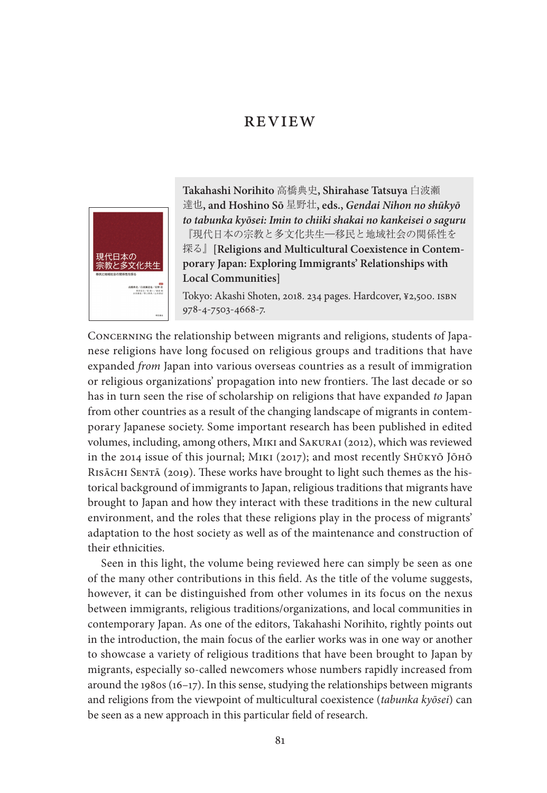# **REVIEW**



**Takahashi Norihito** 高橋典史**, Shirahase Tatsuya** 白波瀬 達也**, and Hoshino Sō** 星野壮**, eds.,** *Gendai Nihon no shūkyō to tabunka kyōsei: Imin to chiiki shakai no kankeisei o saguru*  『現代日本の宗教と多文化共生一移民と地域社会の関係性を 探る』**[Religions and Multicultural Coexistence in Contemporary Japan: Exploring Immigrants' Relationships with Local Communities]**

Tokyo: Akashi Shoten, 2018. 234 pages. Hardcover, ¥2,500. ISBN 978-4-7503-4668-7.

Concerning the relationship between migrants and religions, students of Japanese religions have long focused on religious groups and traditions that have expanded *from* Japan into various overseas countries as a result of immigration or religious organizations' propagation into new frontiers. The last decade or so has in turn seen the rise of scholarship on religions that have expanded *to* Japan from other countries as a result of the changing landscape of migrants in contemporary Japanese society. Some important research has been published in edited volumes, including, among others, Miki and Sakurai (2012), which was reviewed in the 2014 issue of this journal; Miki (2017); and most recently Shūkyō Jōhō RISĀCHI SENTĀ (2019). These works have brought to light such themes as the historical background of immigrants to Japan, religious traditions that migrants have brought to Japan and how they interact with these traditions in the new cultural environment, and the roles that these religions play in the process of migrants' adaptation to the host society as well as of the maintenance and construction of their ethnicities.

Seen in this light, the volume being reviewed here can simply be seen as one of the many other contributions in this field. As the title of the volume suggests, however, it can be distinguished from other volumes in its focus on the nexus between immigrants, religious traditions/organizations, and local communities in contemporary Japan. As one of the editors, Takahashi Norihito, rightly points out in the introduction, the main focus of the earlier works was in one way or another to showcase a variety of religious traditions that have been brought to Japan by migrants, especially so-called newcomers whose numbers rapidly increased from around the 1980s (16–17). In this sense, studying the relationships between migrants and religions from the viewpoint of multicultural coexistence (*tabunka kyōsei*) can be seen as a new approach in this particular field of research.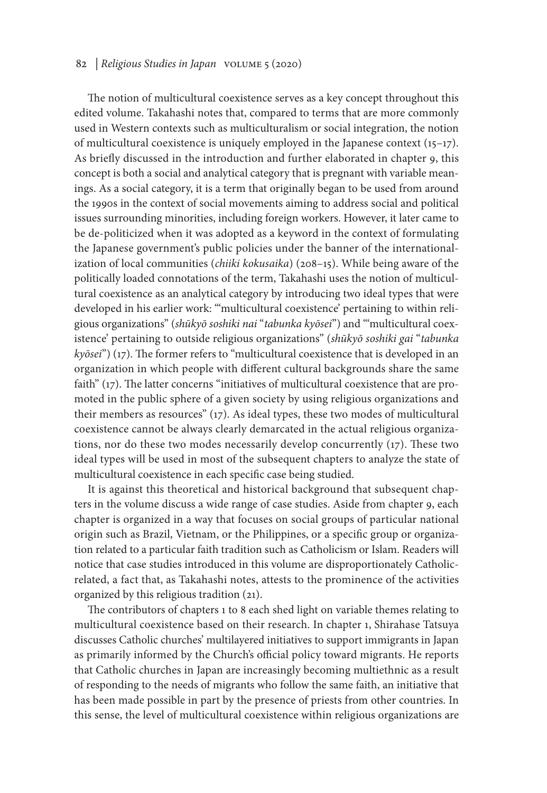#### 82 | *Religious Studies in Japan* volume 5 (2020)

The notion of multicultural coexistence serves as a key concept throughout this edited volume. Takahashi notes that, compared to terms that are more commonly used in Western contexts such as multiculturalism or social integration, the notion of multicultural coexistence is uniquely employed in the Japanese context (15–17). As briefly discussed in the introduction and further elaborated in chapter 9, this concept is both a social and analytical category that is pregnant with variable meanings. As a social category, it is a term that originally began to be used from around the 1990s in the context of social movements aiming to address social and political issues surrounding minorities, including foreign workers. However, it later came to be de-politicized when it was adopted as a keyword in the context of formulating the Japanese government's public policies under the banner of the internationalization of local communities (*chiiki kokusaika*) (208–15). While being aware of the politically loaded connotations of the term, Takahashi uses the notion of multicultural coexistence as an analytical category by introducing two ideal types that were developed in his earlier work: "'multicultural coexistence' pertaining to within religious organizations" (*shūkyō soshiki nai* "*tabunka kyōsei*") and "'multicultural coexistence' pertaining to outside religious organizations" (*shūkyō soshiki gai* "*tabunka kyōsei*") (17). The former refers to "multicultural coexistence that is developed in an organization in which people with different cultural backgrounds share the same faith" (17). The latter concerns "initiatives of multicultural coexistence that are promoted in the public sphere of a given society by using religious organizations and their members as resources" (17). As ideal types, these two modes of multicultural coexistence cannot be always clearly demarcated in the actual religious organizations, nor do these two modes necessarily develop concurrently (17). These two ideal types will be used in most of the subsequent chapters to analyze the state of multicultural coexistence in each specific case being studied.

It is against this theoretical and historical background that subsequent chapters in the volume discuss a wide range of case studies. Aside from chapter 9, each chapter is organized in a way that focuses on social groups of particular national origin such as Brazil, Vietnam, or the Philippines, or a specific group or organization related to a particular faith tradition such as Catholicism or Islam. Readers will notice that case studies introduced in this volume are disproportionately Catholicrelated, a fact that, as Takahashi notes, attests to the prominence of the activities organized by this religious tradition (21).

The contributors of chapters 1 to 8 each shed light on variable themes relating to multicultural coexistence based on their research. In chapter 1, Shirahase Tatsuya discusses Catholic churches' multilayered initiatives to support immigrants in Japan as primarily informed by the Church's official policy toward migrants. He reports that Catholic churches in Japan are increasingly becoming multiethnic as a result of responding to the needs of migrants who follow the same faith, an initiative that has been made possible in part by the presence of priests from other countries. In this sense, the level of multicultural coexistence within religious organizations are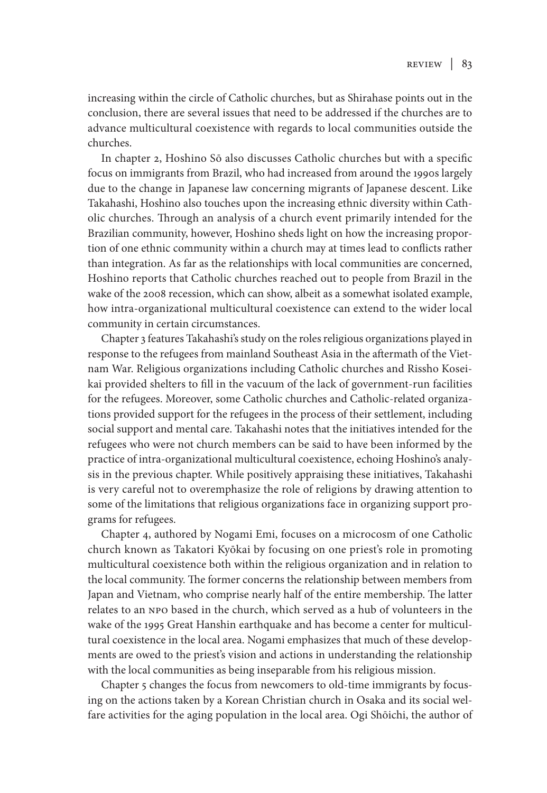increasing within the circle of Catholic churches, but as Shirahase points out in the conclusion, there are several issues that need to be addressed if the churches are to advance multicultural coexistence with regards to local communities outside the churches.

In chapter 2, Hoshino Sō also discusses Catholic churches but with a specific focus on immigrants from Brazil, who had increased from around the 1990s largely due to the change in Japanese law concerning migrants of Japanese descent. Like Takahashi, Hoshino also touches upon the increasing ethnic diversity within Catholic churches. Through an analysis of a church event primarily intended for the Brazilian community, however, Hoshino sheds light on how the increasing proportion of one ethnic community within a church may at times lead to conflicts rather than integration. As far as the relationships with local communities are concerned, Hoshino reports that Catholic churches reached out to people from Brazil in the wake of the 2008 recession, which can show, albeit as a somewhat isolated example, how intra-organizational multicultural coexistence can extend to the wider local community in certain circumstances.

Chapter 3 features Takahashi's study on the roles religious organizations played in response to the refugees from mainland Southeast Asia in the aftermath of the Vietnam War. Religious organizations including Catholic churches and Rissho Koseikai provided shelters to fill in the vacuum of the lack of government-run facilities for the refugees. Moreover, some Catholic churches and Catholic-related organizations provided support for the refugees in the process of their settlement, including social support and mental care. Takahashi notes that the initiatives intended for the refugees who were not church members can be said to have been informed by the practice of intra-organizational multicultural coexistence, echoing Hoshino's analysis in the previous chapter. While positively appraising these initiatives, Takahashi is very careful not to overemphasize the role of religions by drawing attention to some of the limitations that religious organizations face in organizing support programs for refugees.

Chapter 4, authored by Nogami Emi, focuses on a microcosm of one Catholic church known as Takatori Kyōkai by focusing on one priest's role in promoting multicultural coexistence both within the religious organization and in relation to the local community. The former concerns the relationship between members from Japan and Vietnam, who comprise nearly half of the entire membership. The latter relates to an NPO based in the church, which served as a hub of volunteers in the wake of the 1995 Great Hanshin earthquake and has become a center for multicultural coexistence in the local area. Nogami emphasizes that much of these developments are owed to the priest's vision and actions in understanding the relationship with the local communities as being inseparable from his religious mission.

Chapter 5 changes the focus from newcomers to old-time immigrants by focusing on the actions taken by a Korean Christian church in Osaka and its social welfare activities for the aging population in the local area. Ogi Shōichi, the author of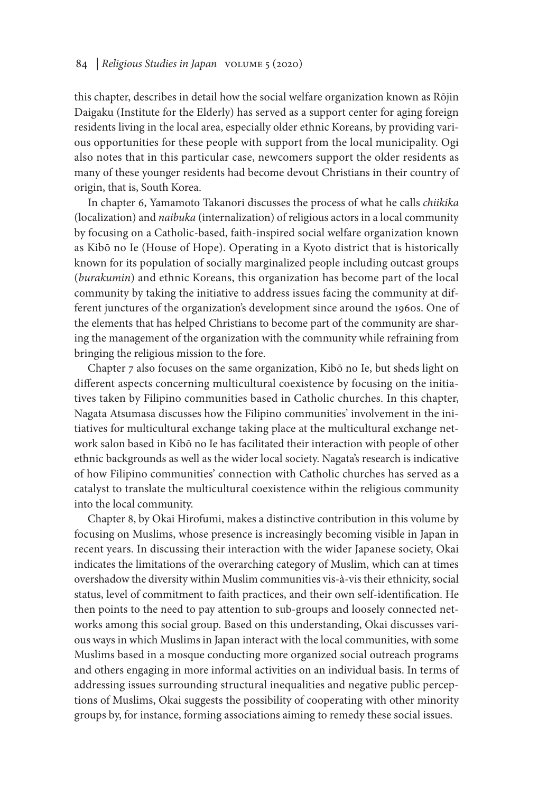### 84 | *Religious Studies in Japan* volume 5 (2020)

this chapter, describes in detail how the social welfare organization known as Rōjin Daigaku (Institute for the Elderly) has served as a support center for aging foreign residents living in the local area, especially older ethnic Koreans, by providing various opportunities for these people with support from the local municipality. Ogi also notes that in this particular case, newcomers support the older residents as many of these younger residents had become devout Christians in their country of origin, that is, South Korea.

In chapter 6, Yamamoto Takanori discusses the process of what he calls *chiikika* (localization) and *naibuka* (internalization) of religious actors in a local community by focusing on a Catholic-based, faith-inspired social welfare organization known as Kibō no Ie (House of Hope). Operating in a Kyoto district that is historically known for its population of socially marginalized people including outcast groups (*burakumin*) and ethnic Koreans, this organization has become part of the local community by taking the initiative to address issues facing the community at different junctures of the organization's development since around the 1960s. One of the elements that has helped Christians to become part of the community are sharing the management of the organization with the community while refraining from bringing the religious mission to the fore.

Chapter 7 also focuses on the same organization, Kibō no Ie, but sheds light on different aspects concerning multicultural coexistence by focusing on the initiatives taken by Filipino communities based in Catholic churches. In this chapter, Nagata Atsumasa discusses how the Filipino communities' involvement in the initiatives for multicultural exchange taking place at the multicultural exchange network salon based in Kibō no Ie has facilitated their interaction with people of other ethnic backgrounds as well as the wider local society. Nagata's research is indicative of how Filipino communities' connection with Catholic churches has served as a catalyst to translate the multicultural coexistence within the religious community into the local community.

Chapter 8, by Okai Hirofumi, makes a distinctive contribution in this volume by focusing on Muslims, whose presence is increasingly becoming visible in Japan in recent years. In discussing their interaction with the wider Japanese society, Okai indicates the limitations of the overarching category of Muslim, which can at times overshadow the diversity within Muslim communities vis-à-vis their ethnicity, social status, level of commitment to faith practices, and their own self-identification. He then points to the need to pay attention to sub-groups and loosely connected networks among this social group. Based on this understanding, Okai discusses various ways in which Muslims in Japan interact with the local communities, with some Muslims based in a mosque conducting more organized social outreach programs and others engaging in more informal activities on an individual basis. In terms of addressing issues surrounding structural inequalities and negative public perceptions of Muslims, Okai suggests the possibility of cooperating with other minority groups by, for instance, forming associations aiming to remedy these social issues.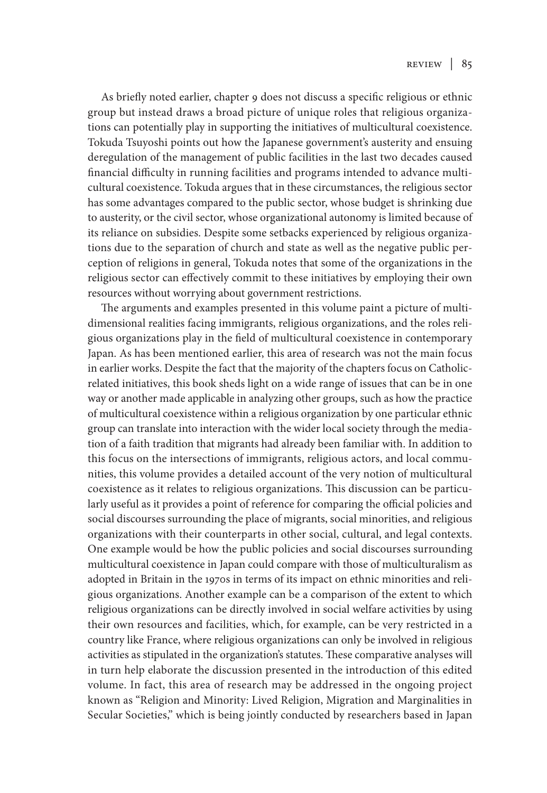As briefly noted earlier, chapter 9 does not discuss a specific religious or ethnic group but instead draws a broad picture of unique roles that religious organizations can potentially play in supporting the initiatives of multicultural coexistence. Tokuda Tsuyoshi points out how the Japanese government's austerity and ensuing deregulation of the management of public facilities in the last two decades caused financial difficulty in running facilities and programs intended to advance multicultural coexistence. Tokuda argues that in these circumstances, the religious sector has some advantages compared to the public sector, whose budget is shrinking due to austerity, or the civil sector, whose organizational autonomy is limited because of its reliance on subsidies. Despite some setbacks experienced by religious organizations due to the separation of church and state as well as the negative public perception of religions in general, Tokuda notes that some of the organizations in the religious sector can effectively commit to these initiatives by employing their own resources without worrying about government restrictions.

The arguments and examples presented in this volume paint a picture of multidimensional realities facing immigrants, religious organizations, and the roles religious organizations play in the field of multicultural coexistence in contemporary Japan. As has been mentioned earlier, this area of research was not the main focus in earlier works. Despite the fact that the majority of the chapters focus on Catholicrelated initiatives, this book sheds light on a wide range of issues that can be in one way or another made applicable in analyzing other groups, such as how the practice of multicultural coexistence within a religious organization by one particular ethnic group can translate into interaction with the wider local society through the mediation of a faith tradition that migrants had already been familiar with. In addition to this focus on the intersections of immigrants, religious actors, and local communities, this volume provides a detailed account of the very notion of multicultural coexistence as it relates to religious organizations. This discussion can be particularly useful as it provides a point of reference for comparing the official policies and social discourses surrounding the place of migrants, social minorities, and religious organizations with their counterparts in other social, cultural, and legal contexts. One example would be how the public policies and social discourses surrounding multicultural coexistence in Japan could compare with those of multiculturalism as adopted in Britain in the 1970s in terms of its impact on ethnic minorities and religious organizations. Another example can be a comparison of the extent to which religious organizations can be directly involved in social welfare activities by using their own resources and facilities, which, for example, can be very restricted in a country like France, where religious organizations can only be involved in religious activities as stipulated in the organization's statutes. These comparative analyses will in turn help elaborate the discussion presented in the introduction of this edited volume. In fact, this area of research may be addressed in the ongoing project known as "Religion and Minority: Lived Religion, Migration and Marginalities in Secular Societies," which is being jointly conducted by researchers based in Japan